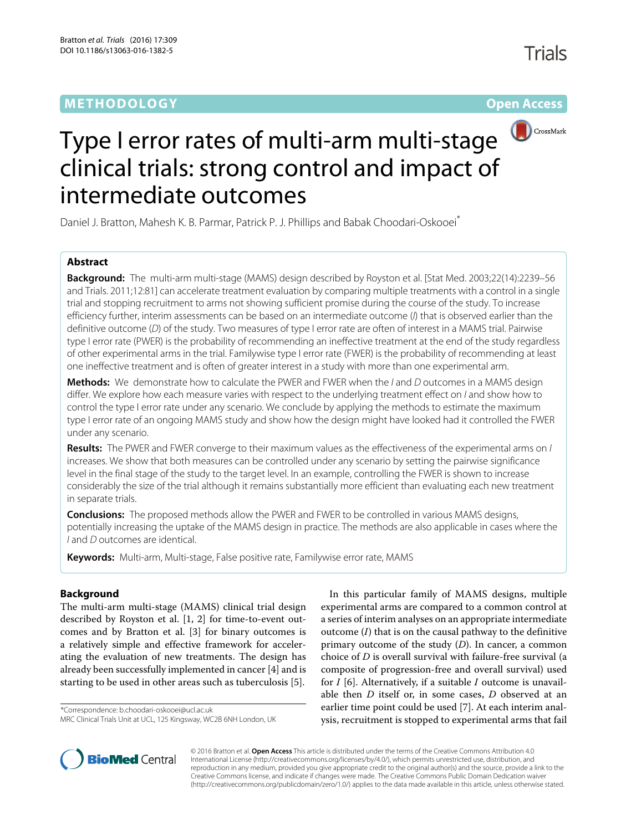# **METHODOLOGY Open Access**

# CrossMark Type I error rates of multi-arm multi-stage clinical trials: strong control and impact of intermediate outcomes

Daniel J. Bratton, Mahesh K. B. Parmar, Patrick P. J. Phillips and Babak Choodari-Oskooei\*

# **Abstract**

**Background:** The multi-arm multi-stage (MAMS) design described by Royston et al. [Stat Med. 2003;22(14):2239–56 and Trials. 2011;12:81] can accelerate treatment evaluation by comparing multiple treatments with a control in a single trial and stopping recruitment to arms not showing sufficient promise during the course of the study. To increase efficiency further, interim assessments can be based on an intermediate outcome (I) that is observed earlier than the definitive outcome (D) of the study. Two measures of type I error rate are often of interest in a MAMS trial. Pairwise type I error rate (PWER) is the probability of recommending an ineffective treatment at the end of the study regardless of other experimental arms in the trial. Familywise type I error rate (FWER) is the probability of recommending at least one ineffective treatment and is often of greater interest in a study with more than one experimental arm.

**Methods:** We demonstrate how to calculate the PWER and FWER when the I and D outcomes in a MAMS design differ. We explore how each measure varies with respect to the underlying treatment effect on I and show how to control the type I error rate under any scenario. We conclude by applying the methods to estimate the maximum type I error rate of an ongoing MAMS study and show how the design might have looked had it controlled the FWER under any scenario.

**Results:** The PWER and FWER converge to their maximum values as the effectiveness of the experimental arms on I increases. We show that both measures can be controlled under any scenario by setting the pairwise significance level in the final stage of the study to the target level. In an example, controlling the FWER is shown to increase considerably the size of the trial although it remains substantially more efficient than evaluating each new treatment in separate trials.

**Conclusions:** The proposed methods allow the PWER and FWER to be controlled in various MAMS designs, potentially increasing the uptake of the MAMS design in practice. The methods are also applicable in cases where the I and D outcomes are identical.

**Keywords:** Multi-arm, Multi-stage, False positive rate, Familywise error rate, MAMS

# **Background**

The multi-arm multi-stage (MAMS) clinical trial design described by Royston et al. [\[1,](#page-6-0) [2\]](#page-6-1) for time-to-event outcomes and by Bratton et al. [\[3\]](#page-6-2) for binary outcomes is a relatively simple and effective framework for accelerating the evaluation of new treatments. The design has already been successfully implemented in cancer [\[4\]](#page-6-3) and is starting to be used in other areas such as tuberculosis [\[5\]](#page-6-4).

\*Correspondence: [b.choodari-oskooei@ucl.ac.uk](mailto: b.choodari-oskooei@ucl.ac.uk)

In this particular family of MAMS designs, multiple experimental arms are compared to a common control at a series of interim analyses on an appropriate intermediate outcome (*I*) that is on the causal pathway to the definitive primary outcome of the study (*D*). In cancer, a common choice of *D* is overall survival with failure-free survival (a composite of progression-free and overall survival) used for *I* [\[6\]](#page-6-5). Alternatively, if a suitable *I* outcome is unavailable then *D* itself or, in some cases, *D* observed at an earlier time point could be used [\[7\]](#page-6-6). At each interim analysis, recruitment is stopped to experimental arms that fail



© 2016 Bratton et al. **Open Access** This article is distributed under the terms of the Creative Commons Attribution 4.0 International License [\(http://creativecommons.org/licenses/by/4.0/\)](http://creativecommons.org/licenses/by/4.0/), which permits unrestricted use, distribution, and reproduction in any medium, provided you give appropriate credit to the original author(s) and the source, provide a link to the Creative Commons license, and indicate if changes were made. The Creative Commons Public Domain Dedication waiver [\(http://creativecommons.org/publicdomain/zero/1.0/\)](http://creativecommons.org/publicdomain/zero/1.0/) applies to the data made available in this article, unless otherwise stated.

MRC Clinical Trials Unit at UCL, 125 Kingsway, WC2B 6NH London, UK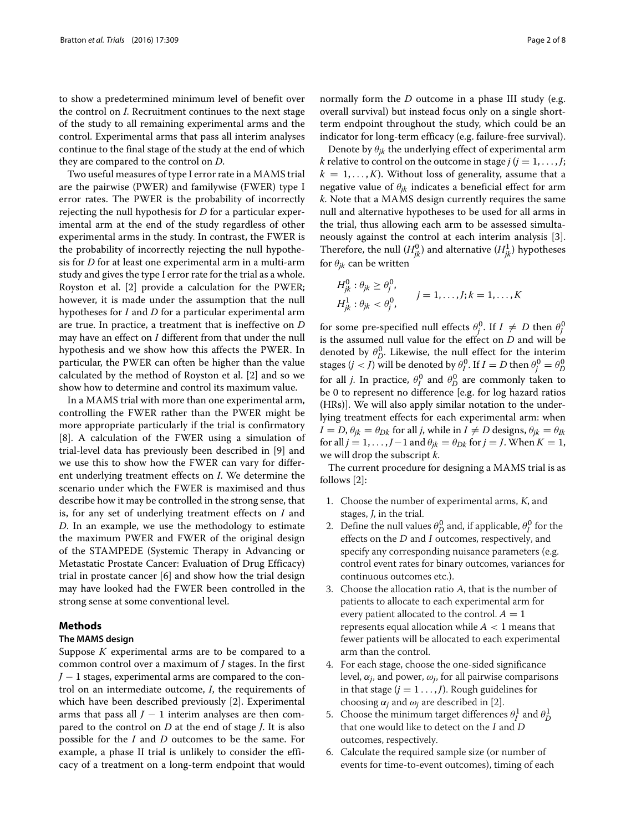to show a predetermined minimum level of benefit over the control on *I*. Recruitment continues to the next stage of the study to all remaining experimental arms and the control. Experimental arms that pass all interim analyses continue to the final stage of the study at the end of which they are compared to the control on *D*.

Two useful measures of type I error rate in a MAMS trial are the pairwise (PWER) and familywise (FWER) type I error rates. The PWER is the probability of incorrectly rejecting the null hypothesis for *D* for a particular experimental arm at the end of the study regardless of other experimental arms in the study. In contrast, the FWER is the probability of incorrectly rejecting the null hypothesis for *D* for at least one experimental arm in a multi-arm study and gives the type I error rate for the trial as a whole. Royston et al. [\[2\]](#page-6-1) provide a calculation for the PWER; however, it is made under the assumption that the null hypotheses for *I* and *D* for a particular experimental arm are true. In practice, a treatment that is ineffective on *D* may have an effect on *I* different from that under the null hypothesis and we show how this affects the PWER. In particular, the PWER can often be higher than the value calculated by the method of Royston et al. [\[2\]](#page-6-1) and so we show how to determine and control its maximum value.

In a MAMS trial with more than one experimental arm, controlling the FWER rather than the PWER might be more appropriate particularly if the trial is confirmatory [\[8\]](#page-6-7). A calculation of the FWER using a simulation of trial-level data has previously been described in [\[9\]](#page-6-8) and we use this to show how the FWER can vary for different underlying treatment effects on *I*. We determine the scenario under which the FWER is maximised and thus describe how it may be controlled in the strong sense, that is, for any set of underlying treatment effects on *I* and *D*. In an example, we use the methodology to estimate the maximum PWER and FWER of the original design of the STAMPEDE (Systemic Therapy in Advancing or Metastatic Prostate Cancer: Evaluation of Drug Efficacy) trial in prostate cancer [\[6\]](#page-6-5) and show how the trial design may have looked had the FWER been controlled in the strong sense at some conventional level.

#### <span id="page-1-0"></span>**Methods**

#### **The MAMS design**

Suppose *K* experimental arms are to be compared to a common control over a maximum of *J* stages. In the first *J* − 1 stages, experimental arms are compared to the control on an intermediate outcome, *I*, the requirements of which have been described previously [\[2\]](#page-6-1). Experimental arms that pass all  $J - 1$  interim analyses are then compared to the control on *D* at the end of stage *J*. It is also possible for the *I* and *D* outcomes to be the same. For example, a phase II trial is unlikely to consider the efficacy of a treatment on a long-term endpoint that would

normally form the *D* outcome in a phase III study (e.g. overall survival) but instead focus only on a single shortterm endpoint throughout the study, which could be an indicator for long-term efficacy (e.g. failure-free survival).

Denote by  $\theta_{ik}$  the underlying effect of experimental arm *k* relative to control on the outcome in stage  $j$  ( $j = 1, \ldots, J$ ;  $k = 1, \ldots, K$ . Without loss of generality, assume that a negative value of  $\theta_{ik}$  indicates a beneficial effect for arm *k*. Note that a MAMS design currently requires the same null and alternative hypotheses to be used for all arms in the trial, thus allowing each arm to be assessed simultaneously against the control at each interim analysis [\[3\]](#page-6-2). Therefore, the null  $(H_{jk}^0)$  and alternative  $(H_{jk}^1)$  hypotheses for  $\theta_{ik}$  can be written

$$
H_{jk}^0: \theta_{jk} \ge \theta_j^0,
$$
  
\n
$$
H_{jk}^1: \theta_{jk} < \theta_j^0,
$$
  
\n
$$
j = 1, \ldots, J; k = 1, \ldots, K
$$

for some pre-specified null effects  $\theta_j^0$ . If  $I \neq D$  then  $\theta_j^0$ is the assumed null value for the effect on *D* and will be denoted by  $\theta_D^0$ . Likewise, the null effect for the interim stages  $(j < J)$  will be denoted by  $\theta_l^0$ . If  $I = D$  then  $\theta_j^0 = \theta_D^0$ for all *j*. In practice,  $\theta_I^0$  and  $\theta_D^0$  are commonly taken to be 0 to represent no difference [e.g. for log hazard ratios (HRs)]. We will also apply similar notation to the underlying treatment effects for each experimental arm: when  $I = D$ ,  $\theta_{ik} = \theta_{Dk}$  for all *j*, while in  $I \neq D$  designs,  $\theta_{ik} = \theta_{Ik}$ for all *j* = 1, . . . , *J* − 1 and  $\theta_{jk} = \theta_{Dk}$  for *j* = *J*. When *K* = 1, we will drop the subscript *k*.

The current procedure for designing a MAMS trial is as follows [\[2\]](#page-6-1):

- 1. Choose the number of experimental arms, <sup>K</sup>, and stages, J, in the trial.
- 2. Define the null values  $\theta_D^0$  and, if applicable,  $\theta_I^0$  for the effects on the  $D$  and  $I$  outcomes, respectively, and specify any corresponding nuisance parameters (e.g. control event rates for binary outcomes, variances for continuous outcomes etc.).
- 3. Choose the allocation ratio <sup>A</sup>, that is the number of patients to allocate to each experimental arm for every patient allocated to the control.  $A = 1$ represents equal allocation while  $A < 1$  means that fewer patients will be allocated to each experimental arm than the control.
- 4. For each stage, choose the one-sided significance level,  $\alpha_j$ , and power,  $\omega_j$ , for all pairwise comparisons in that stage  $(j = 1 \ldots, J)$ . Rough guidelines for choosing  $\alpha_j$  and  $\omega_j$  are described in [\[2\]](#page-6-1).
- 5. Choose the minimum target differences  $\theta_I^1$  and  $\theta_D^1$ that one would like to detect on the <sup>I</sup> and <sup>D</sup> outcomes, respectively.
- 6. Calculate the required sample size (or number of events for time-to-event outcomes), timing of each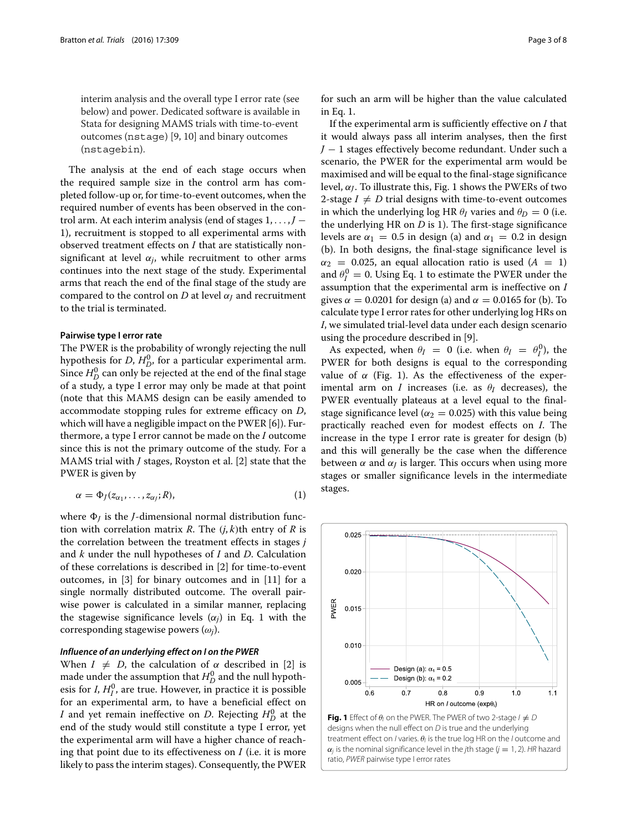interim analysis and the overall type I error rate (see below) and power. Dedicated software is available in Stata for designing MAMS trials with time-to-event outcomes (nstage) [\[9,](#page-6-8) [10\]](#page-6-9) and binary outcomes (nstagebin).

The analysis at the end of each stage occurs when the required sample size in the control arm has completed follow-up or, for time-to-event outcomes, when the required number of events has been observed in the control arm. At each interim analysis (end of stages 1, ... , *J* − 1), recruitment is stopped to all experimental arms with observed treatment effects on *I* that are statistically nonsignificant at level  $\alpha_j$ , while recruitment to other arms continues into the next stage of the study. Experimental arms that reach the end of the final stage of the study are compared to the control on *D* at level  $\alpha$ <sup>*I*</sup> and recruitment to the trial is terminated.

#### **Pairwise type I error rate**

The PWER is the probability of wrongly rejecting the null hypothesis for *D*,  $H_D^0$ , for a particular experimental arm. Since  $H_D^0$  can only be rejected at the end of the final stage of a study, a type I error may only be made at that point (note that this MAMS design can be easily amended to accommodate stopping rules for extreme efficacy on *D*, which will have a negligible impact on the PWER [\[6\]](#page-6-5)). Furthermore, a type I error cannot be made on the *I* outcome since this is not the primary outcome of the study. For a MAMS trial with *J* stages, Royston et al. [\[2\]](#page-6-1) state that the PWER is given by

<span id="page-2-0"></span>
$$
\alpha = \Phi_J(z_{\alpha_1}, \dots, z_{\alpha_J}; R), \tag{1}
$$

where  $\Phi$ *I* is the *J*-dimensional normal distribution function with correlation matrix *R*. The (*j*, *k*)th entry of *R* is the correlation between the treatment effects in stages *j* and *k* under the null hypotheses of *I* and *D*. Calculation of these correlations is described in [\[2\]](#page-6-1) for time-to-event outcomes, in [\[3\]](#page-6-2) for binary outcomes and in [\[11\]](#page-6-10) for a single normally distributed outcome. The overall pairwise power is calculated in a similar manner, replacing the stagewise significance levels  $(\alpha_i)$  in Eq. [1](#page-2-0) with the corresponding stagewise powers (ω*j*).

#### *Influence of an underlying effect on I on the PWER*

When  $I \neq D$ , the calculation of  $\alpha$  described in [\[2\]](#page-6-1) is made under the assumption that  $H_D^0$  and the null hypothesis for *I*,  $H_I^0$ , are true. However, in practice it is possible for an experimental arm, to have a beneficial effect on *I* and yet remain ineffective on *D*. Rejecting  $H_D^0$  at the end of the study would still constitute a type I error, yet the experimental arm will have a higher chance of reaching that point due to its effectiveness on *I* (i.e. it is more likely to pass the interim stages). Consequently, the PWER for such an arm will be higher than the value calculated in Eq. [1.](#page-2-0)

If the experimental arm is sufficiently effective on *I* that it would always pass all interim analyses, then the first *J* − 1 stages effectively become redundant. Under such a scenario, the PWER for the experimental arm would be maximised and will be equal to the final-stage significance level,  $\alpha$ <sub>*I*</sub>. To illustrate this, Fig. [1](#page-2-1) shows the PWERs of two 2-stage  $I \neq D$  trial designs with time-to-event outcomes in which the underlying log HR  $\theta_I$  varies and  $\theta_D = 0$  (i.e. the underlying HR on *D* is 1). The first-stage significance levels are  $\alpha_1 = 0.5$  in design (a) and  $\alpha_1 = 0.2$  in design (b). In both designs, the final-stage significance level is  $\alpha_2$  = 0.025, an equal allocation ratio is used ( $A = 1$ ) and  $\theta_I^0 = 0$ . Using Eq. [1](#page-2-0) to estimate the PWER under the assumption that the experimental arm is ineffective on *I* gives  $\alpha = 0.0201$  for design (a) and  $\alpha = 0.0165$  for (b). To calculate type I error rates for other underlying log HRs on *I*, we simulated trial-level data under each design scenario using the procedure described in [\[9\]](#page-6-8).

As expected, when  $\theta_I = 0$  (i.e. when  $\theta_I = \theta_I^0$ ), the PWER for both designs is equal to the corresponding value of  $\alpha$  (Fig. [1\)](#page-2-1). As the effectiveness of the experimental arm on *I* increases (i.e. as  $\theta_I$  decreases), the PWER eventually plateaus at a level equal to the finalstage significance level ( $\alpha_2 = 0.025$ ) with this value being practically reached even for modest effects on *I*. The increase in the type I error rate is greater for design (b) and this will generally be the case when the difference between  $\alpha$  and  $\alpha$ <sup>*I*</sup> is larger. This occurs when using more stages or smaller significance levels in the intermediate stages.



<span id="page-2-1"></span>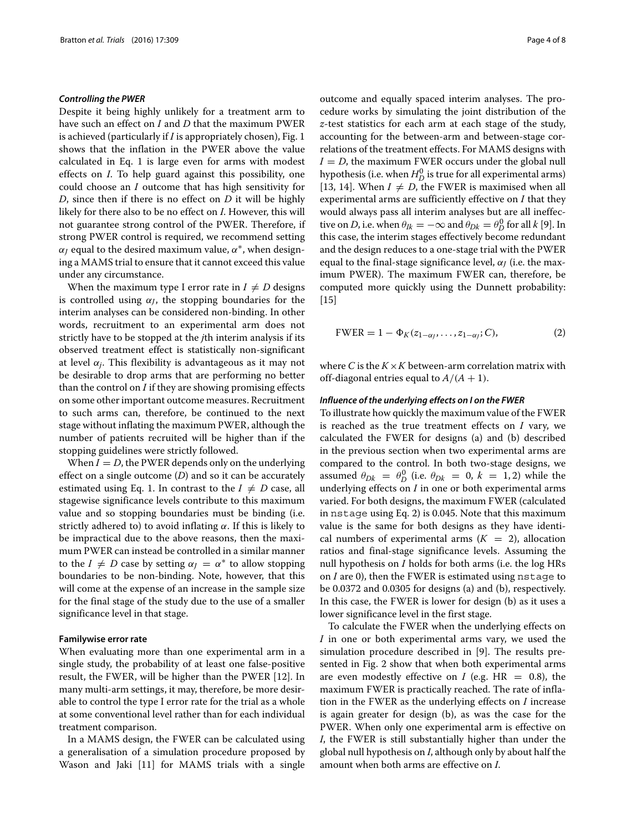#### *Controlling the PWER*

Despite it being highly unlikely for a treatment arm to have such an effect on *I* and *D* that the maximum PWER is achieved (particularly if *I* is appropriately chosen), Fig. [1](#page-2-1) shows that the inflation in the PWER above the value calculated in Eq. [1](#page-2-0) is large even for arms with modest effects on *I*. To help guard against this possibility, one could choose an *I* outcome that has high sensitivity for *D*, since then if there is no effect on *D* it will be highly likely for there also to be no effect on *I*. However, this will not guarantee strong control of the PWER. Therefore, if strong PWER control is required, we recommend setting  $\alpha$ <sub>*I*</sub> equal to the desired maximum value,  $\alpha$ <sup>\*</sup>, when designing a MAMS trial to ensure that it cannot exceed this value under any circumstance.

When the maximum type I error rate in  $I \neq D$  designs is controlled using  $\alpha$ <sub>*I*</sub>, the stopping boundaries for the interim analyses can be considered non-binding. In other words, recruitment to an experimental arm does not strictly have to be stopped at the *j*th interim analysis if its observed treatment effect is statistically non-significant at level  $\alpha_i$ . This flexibility is advantageous as it may not be desirable to drop arms that are performing no better than the control on *I* if they are showing promising effects on some other important outcome measures. Recruitment to such arms can, therefore, be continued to the next stage without inflating the maximum PWER, although the number of patients recruited will be higher than if the stopping guidelines were strictly followed.

When  $I = D$ , the PWER depends only on the underlying effect on a single outcome (*D*) and so it can be accurately estimated using Eq. [1.](#page-2-0) In contrast to the  $I \neq D$  case, all stagewise significance levels contribute to this maximum value and so stopping boundaries must be binding (i.e. strictly adhered to) to avoid inflating  $\alpha$ . If this is likely to be impractical due to the above reasons, then the maximum PWER can instead be controlled in a similar manner to the *I*  $\neq$  *D* case by setting  $\alpha$ <sub>*I*</sub> =  $\alpha$ <sup>\*</sup> to allow stopping boundaries to be non-binding. Note, however, that this will come at the expense of an increase in the sample size for the final stage of the study due to the use of a smaller significance level in that stage.

#### **Familywise error rate**

When evaluating more than one experimental arm in a single study, the probability of at least one false-positive result, the FWER, will be higher than the PWER [\[12\]](#page-6-11). In many multi-arm settings, it may, therefore, be more desirable to control the type I error rate for the trial as a whole at some conventional level rather than for each individual treatment comparison.

In a MAMS design, the FWER can be calculated using a generalisation of a simulation procedure proposed by Wason and Jaki [\[11\]](#page-6-10) for MAMS trials with a single

outcome and equally spaced interim analyses. The procedure works by simulating the joint distribution of the *z*-test statistics for each arm at each stage of the study, accounting for the between-arm and between-stage correlations of the treatment effects. For MAMS designs with  $I = D$ , the maximum FWER occurs under the global null hypothesis (i.e. when  $H_D^0$  is true for all experimental arms) [\[13,](#page-6-12) [14\]](#page-6-13). When  $I \neq D$ , the FWER is maximised when all experimental arms are sufficiently effective on *I* that they would always pass all interim analyses but are all ineffective on *D*, i.e. when  $\theta_{Ik} = -\infty$  and  $\theta_{Dk} = \theta_D^0$  for all *k* [\[9\]](#page-6-8). In this case, the interim stages effectively become redundant and the design reduces to a one-stage trial with the PWER equal to the final-stage significance level,  $\alpha$ <sup>*I*</sup> (i.e. the maximum PWER). The maximum FWER can, therefore, be computed more quickly using the Dunnett probability:  $[15]$ 

<span id="page-3-0"></span>
$$
FWER = 1 - \Phi_K(z_{1-\alpha_J}, \dots, z_{1-\alpha_J}; C), \tag{2}
$$

where *C* is the  $K \times K$  between-arm correlation matrix with off-diagonal entries equal to  $A/(A + 1)$ .

#### *Influence of the underlying effects on I on the FWER*

To illustrate how quickly the maximum value of the FWER is reached as the true treatment effects on *I* vary, we calculated the FWER for designs (a) and (b) described in the previous section when two experimental arms are compared to the control. In both two-stage designs, we assumed  $\theta_{Dk} = \theta_D^0$  (i.e.  $\theta_{Dk} = 0$ ,  $k = 1, 2$ ) while the underlying effects on *I* in one or both experimental arms varied. For both designs, the maximum FWER (calculated in nstage using Eq. [2\)](#page-3-0) is 0.045. Note that this maximum value is the same for both designs as they have identical numbers of experimental arms  $(K = 2)$ , allocation ratios and final-stage significance levels. Assuming the null hypothesis on *I* holds for both arms (i.e. the log HRs on *I* are 0), then the FWER is estimated using nstage to be 0.0372 and 0.0305 for designs (a) and (b), respectively. In this case, the FWER is lower for design (b) as it uses a lower significance level in the first stage.

To calculate the FWER when the underlying effects on *I* in one or both experimental arms vary, we used the simulation procedure described in [\[9\]](#page-6-8). The results presented in Fig. [2](#page-4-0) show that when both experimental arms are even modestly effective on *I* (e.g.  $HR = 0.8$ ), the maximum FWER is practically reached. The rate of inflation in the FWER as the underlying effects on *I* increase is again greater for design (b), as was the case for the PWER. When only one experimental arm is effective on *I*, the FWER is still substantially higher than under the global null hypothesis on *I*, although only by about half the amount when both arms are effective on *I*.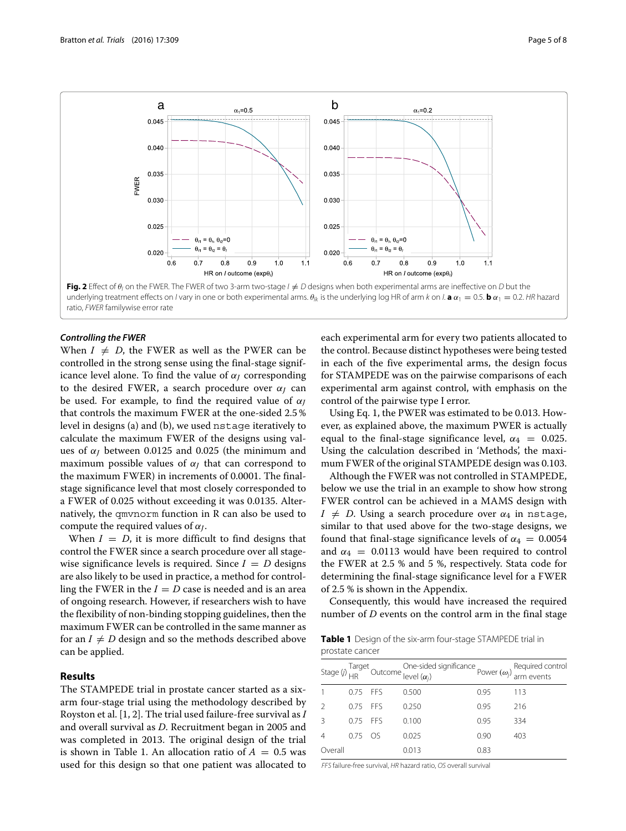

<span id="page-4-0"></span>*Controlling the FWER*

When  $I \neq D$ , the FWER as well as the PWER can be controlled in the strong sense using the final-stage significance level alone. To find the value of  $\alpha$ <sup>*I*</sup> corresponding to the desired FWER, a search procedure over  $\alpha$ <sup>*I*</sup> can be used. For example, to find the required value of α*<sup>J</sup>* that controls the maximum FWER at the one-sided 2.5 % level in designs (a) and (b), we used nstage iteratively to calculate the maximum FWER of the designs using values of  $\alpha$ <sup>*I*</sup> between 0.0125 and 0.025 (the minimum and maximum possible values of  $\alpha$ <sup>*I*</sup> that can correspond to the maximum FWER) in increments of 0.0001. The finalstage significance level that most closely corresponded to a FWER of 0.025 without exceeding it was 0.0135. Alternatively, the qmvnorm function in R can also be used to compute the required values of  $\alpha$ <sup>*I*</sup>.

When  $I = D$ , it is more difficult to find designs that control the FWER since a search procedure over all stagewise significance levels is required. Since  $I = D$  designs are also likely to be used in practice, a method for controlling the FWER in the  $I = D$  case is needed and is an area of ongoing research. However, if researchers wish to have the flexibility of non-binding stopping guidelines, then the maximum FWER can be controlled in the same manner as for an  $I \neq D$  design and so the methods described above can be applied.

## <span id="page-4-2"></span>**Results**

The STAMPEDE trial in prostate cancer started as a sixarm four-stage trial using the methodology described by Royston et al. [\[1,](#page-6-0) [2\]](#page-6-1). The trial used failure-free survival as *I* and overall survival as *D*. Recruitment began in 2005 and was completed in 2013. The original design of the trial is shown in Table [1.](#page-4-1) An allocation ratio of  $A = 0.5$  was used for this design so that one patient was allocated to

each experimental arm for every two patients allocated to the control. Because distinct hypotheses were being tested in each of the five experimental arms, the design focus for STAMPEDE was on the pairwise comparisons of each experimental arm against control, with emphasis on the control of the pairwise type I error.

Using Eq. [1,](#page-2-0) the PWER was estimated to be 0.013. However, as explained above, the maximum PWER is actually equal to the final-stage significance level,  $\alpha_4 = 0.025$ . Using the calculation described in ['Methods',](#page-1-0) the maximum FWER of the original STAMPEDE design was 0.103.

Although the FWER was not controlled in STAMPEDE, below we use the trial in an example to show how strong FWER control can be achieved in a MAMS design with  $I \neq D$ . Using a search procedure over  $\alpha_4$  in nstage, similar to that used above for the two-stage designs, we found that final-stage significance levels of  $\alpha_4 = 0.0054$ and  $\alpha_4$  = 0.0113 would have been required to control the FWER at 2.5 % and 5 %, respectively. Stata code for determining the final-stage significance level for a FWER of 2.5 % is shown in the [Appendix.](#page-6-15)

Consequently, this would have increased the required number of *D* events on the control arm in the final stage

<span id="page-4-1"></span>**Table 1** Design of the six-arm four-stage STAMPEDE trial in prostate cancer

|               |            |     | Stage (j) $\frac{q}{HR}$ Outcome level ( $\alpha_j$ ) $\alpha_j$ ) Pequired control by $\frac{q}{HR}$ Currents |      |     |
|---------------|------------|-----|----------------------------------------------------------------------------------------------------------------|------|-----|
|               | $0.75$ FFS |     | 0.500                                                                                                          | 0.95 | 113 |
|               | $0.75$ FFS |     | 0.250                                                                                                          | 0.95 | 216 |
| $\mathcal{R}$ | $0.75$ FFS |     | 0.100                                                                                                          | 0.95 | 334 |
|               | 0.75       | OS. | 0.025                                                                                                          | 0.90 | 403 |
| Overall       |            |     | 0.013                                                                                                          | 0.83 |     |

FFS failure-free survival, HR hazard ratio, OS overall survival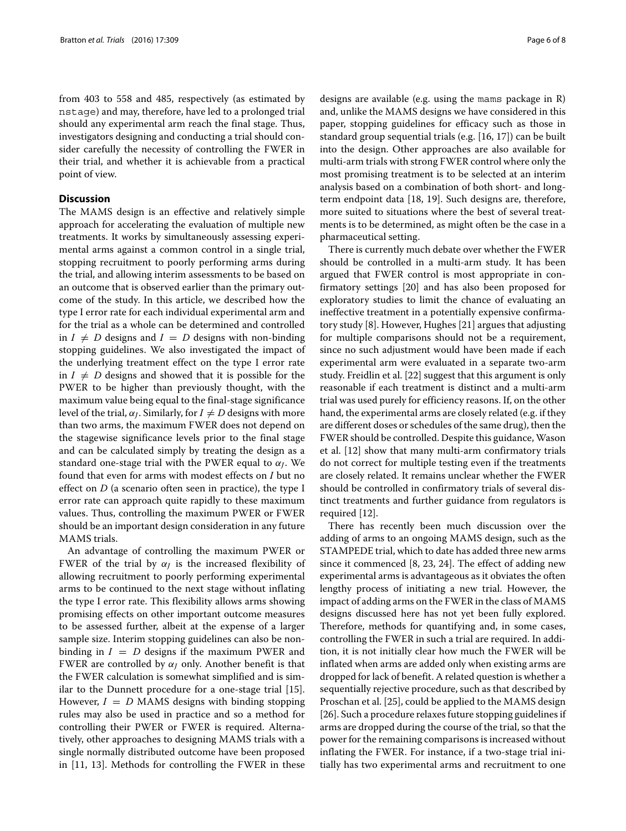from 403 to 558 and 485, respectively (as estimated by nstage) and may, therefore, have led to a prolonged trial should any experimental arm reach the final stage. Thus, investigators designing and conducting a trial should consider carefully the necessity of controlling the FWER in their trial, and whether it is achievable from a practical point of view.

#### **Discussion**

The MAMS design is an effective and relatively simple approach for accelerating the evaluation of multiple new treatments. It works by simultaneously assessing experimental arms against a common control in a single trial, stopping recruitment to poorly performing arms during the trial, and allowing interim assessments to be based on an outcome that is observed earlier than the primary outcome of the study. In this article, we described how the type I error rate for each individual experimental arm and for the trial as a whole can be determined and controlled in  $I \neq D$  designs and  $I = D$  designs with non-binding stopping guidelines. We also investigated the impact of the underlying treatment effect on the type I error rate in  $I \neq D$  designs and showed that it is possible for the PWER to be higher than previously thought, with the maximum value being equal to the final-stage significance level of the trial,  $\alpha$ <sup>*I*</sup>. Similarly, for  $I \neq D$  designs with more than two arms, the maximum FWER does not depend on the stagewise significance levels prior to the final stage and can be calculated simply by treating the design as a standard one-stage trial with the PWER equal to α*J*. We found that even for arms with modest effects on *I* but no effect on *D* (a scenario often seen in practice), the type I error rate can approach quite rapidly to these maximum values. Thus, controlling the maximum PWER or FWER should be an important design consideration in any future MAMS trials.

An advantage of controlling the maximum PWER or FWER of the trial by  $\alpha$ *J* is the increased flexibility of allowing recruitment to poorly performing experimental arms to be continued to the next stage without inflating the type I error rate. This flexibility allows arms showing promising effects on other important outcome measures to be assessed further, albeit at the expense of a larger sample size. Interim stopping guidelines can also be nonbinding in  $I = D$  designs if the maximum PWER and FWER are controlled by  $\alpha$ <sub>*I*</sub> only. Another benefit is that the FWER calculation is somewhat simplified and is similar to the Dunnett procedure for a one-stage trial [\[15\]](#page-6-14). However,  $I = D$  MAMS designs with binding stopping rules may also be used in practice and so a method for controlling their PWER or FWER is required. Alternatively, other approaches to designing MAMS trials with a single normally distributed outcome have been proposed in [\[11,](#page-6-10) [13\]](#page-6-12). Methods for controlling the FWER in these

designs are available (e.g. using the mams package in R) and, unlike the MAMS designs we have considered in this paper, stopping guidelines for efficacy such as those in standard group sequential trials (e.g. [\[16,](#page-6-16) [17\]](#page-6-17)) can be built into the design. Other approaches are also available for multi-arm trials with strong FWER control where only the most promising treatment is to be selected at an interim analysis based on a combination of both short- and longterm endpoint data [\[18,](#page-6-18) [19\]](#page-6-19). Such designs are, therefore, more suited to situations where the best of several treatments is to be determined, as might often be the case in a pharmaceutical setting.

There is currently much debate over whether the FWER should be controlled in a multi-arm study. It has been argued that FWER control is most appropriate in confirmatory settings [\[20\]](#page-6-20) and has also been proposed for exploratory studies to limit the chance of evaluating an ineffective treatment in a potentially expensive confirmatory study [\[8\]](#page-6-7). However, Hughes [\[21\]](#page-6-21) argues that adjusting for multiple comparisons should not be a requirement, since no such adjustment would have been made if each experimental arm were evaluated in a separate two-arm study. Freidlin et al. [\[22\]](#page-6-22) suggest that this argument is only reasonable if each treatment is distinct and a multi-arm trial was used purely for efficiency reasons. If, on the other hand, the experimental arms are closely related (e.g. if they are different doses or schedules of the same drug), then the FWER should be controlled. Despite this guidance, Wason et al. [\[12\]](#page-6-11) show that many multi-arm confirmatory trials do not correct for multiple testing even if the treatments are closely related. It remains unclear whether the FWER should be controlled in confirmatory trials of several distinct treatments and further guidance from regulators is required [\[12\]](#page-6-11).

There has recently been much discussion over the adding of arms to an ongoing MAMS design, such as the STAMPEDE trial, which to date has added three new arms since it commenced [\[8,](#page-6-7) [23,](#page-7-0) [24\]](#page-7-1). The effect of adding new experimental arms is advantageous as it obviates the often lengthy process of initiating a new trial. However, the impact of adding arms on the FWER in the class of MAMS designs discussed here has not yet been fully explored. Therefore, methods for quantifying and, in some cases, controlling the FWER in such a trial are required. In addition, it is not initially clear how much the FWER will be inflated when arms are added only when existing arms are dropped for lack of benefit. A related question is whether a sequentially rejective procedure, such as that described by Proschan et al. [\[25\]](#page-7-2), could be applied to the MAMS design [\[26\]](#page-7-3). Such a procedure relaxes future stopping guidelines if arms are dropped during the course of the trial, so that the power for the remaining comparisons is increased without inflating the FWER. For instance, if a two-stage trial initially has two experimental arms and recruitment to one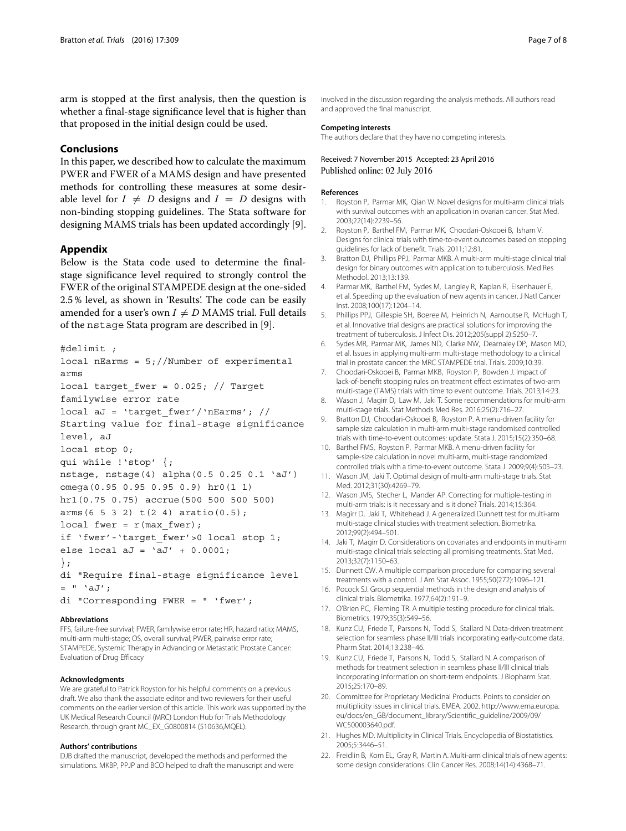arm is stopped at the first analysis, then the question is whether a final-stage significance level that is higher than that proposed in the initial design could be used.

#### **Conclusions**

In this paper, we described how to calculate the maximum PWER and FWER of a MAMS design and have presented methods for controlling these measures at some desirable level for  $I \neq D$  designs and  $I = D$  designs with non-binding stopping guidelines. The Stata software for designing MAMS trials has been updated accordingly [\[9\]](#page-6-8).

### <span id="page-6-15"></span>**Appendix**

Below is the Stata code used to determine the finalstage significance level required to strongly control the FWER of the original STAMPEDE design at the one-sided 2.5 % level, as shown in ['Results'.](#page-4-2) The code can be easily amended for a user's own  $I \neq D$  MAMS trial. Full details of the nstage Stata program are described in [\[9\]](#page-6-8).

```
#delimit ;
```

```
local nEarms = 5;//Number of experimental
arms
local target fwer = 0.025; // Target
familywise error rate
local aJ = 'target fwer'/'nEarms'; //
```

```
Starting value for final-stage significance
level, aJ
```

```
local stop 0;
```

```
qui while !'stop' {;
```

```
nstage, nstage(4) alpha(0.5 0.25 0.1 'aJ')
omega(0.95 0.95 0.95 0.9) hr0(1 1)
```

```
hr1(0.75 0.75) accrue(500 500 500 500)
```

```
arms(6 5 3 2) t(2 4) aratio(0.5);
```

```
local fwer = r(max fwer);
```

```
if 'fwer'-'target fwer'>0 local stop 1;
```

```
else local aJ = 'aJ' + 0.0001;
```

```
};
```

```
di "Require final-stage significance level
= " \overline{d';
```
di "Corresponding FWER = " 'fwer';

#### **Abbreviations**

FFS, failure-free survival; FWER, familywise error rate; HR, hazard ratio; MAMS, multi-arm multi-stage; OS, overall survival; PWER, pairwise error rate; STAMPEDE, Systemic Therapy in Advancing or Metastatic Prostate Cancer: Evaluation of Drug Efficacy

#### **Acknowledgments**

We are grateful to Patrick Royston for his helpful comments on a previous draft. We also thank the associate editor and two reviewers for their useful comments on the earlier version of this article. This work was supported by the UK Medical Research Council (MRC) London Hub for Trials Methodology Research, through grant MC\_EX\_G0800814 (510636,MQEL).

#### **Authors' contributions**

DJB drafted the manuscript, developed the methods and performed the simulations. MKBP, PPJP and BCO helped to draft the manuscript and were involved in the discussion regarding the analysis methods. All authors read and approved the final manuscript.

#### **Competing interests**

The authors declare that they have no competing interests.

#### Received: 7 November 2015 Accepted: 23 April 2016 Published online: 02 July 2016

#### **References**

- <span id="page-6-0"></span>1. Royston P, Parmar MK, Qian W. Novel designs for multi-arm clinical trials with survival outcomes with an application in ovarian cancer. Stat Med. 2003;22(14):2239–56.
- <span id="page-6-1"></span>2. Royston P, Barthel FM, Parmar MK, Choodari-Oskooei B, Isham V. Designs for clinical trials with time-to-event outcomes based on stopping guidelines for lack of benefit. Trials. 2011;12:81.
- <span id="page-6-2"></span>Bratton DJ, Phillips PPJ, Parmar MKB. A multi-arm multi-stage clinical trial design for binary outcomes with application to tuberculosis. Med Res Methodol. 2013;13:139.
- <span id="page-6-3"></span>4. Parmar MK, Barthel FM, Sydes M, Langley R, Kaplan R, Eisenhauer E, et al. Speeding up the evaluation of new agents in cancer. J Natl Cancer Inst. 2008;100(17):1204–14.
- <span id="page-6-4"></span>5. Phillips PPJ, Gillespie SH, Boeree M, Heinrich N, Aarnoutse R, McHugh T, et al. Innovative trial designs are practical solutions for improving the treatment of tuberculosis. J Infect Dis. 2012;205(suppl 2):S250–7.
- <span id="page-6-5"></span>6. Sydes MR, Parmar MK, James ND, Clarke NW, Dearnaley DP, Mason MD, et al. Issues in applying multi-arm multi-stage methodology to a clinical trial in prostate cancer: the MRC STAMPEDE trial. Trials. 2009;10:39.
- <span id="page-6-6"></span>7. Choodari-Oskooei B, Parmar MKB, Royston P, Bowden J. Impact of lack-of-benefit stopping rules on treatment effect estimates of two-arm multi-stage (TAMS) trials with time to event outcome. Trials. 2013;14:23.
- <span id="page-6-7"></span>8. Wason J, Magirr D, Law M, Jaki T. Some recommendations for multi-arm multi-stage trials. Stat Methods Med Res. 2016;25(2):716–27.
- <span id="page-6-8"></span>9. Bratton DJ, Choodari-Oskooei B, Royston P. A menu-driven facility for sample size calculation in multi-arm multi-stage randomised controlled trials with time-to-event outcomes: update. Stata J. 2015;15(2):350–68.
- <span id="page-6-9"></span>10. Barthel FMS, Royston P, Parmar MKB. A menu-driven facility for sample-size calculation in novel multi-arm, multi-stage randomized controlled trials with a time-to-event outcome. Stata J. 2009;9(4):505–23.
- <span id="page-6-10"></span>11. Wason JM, Jaki T. Optimal design of multi-arm multi-stage trials. Stat Med. 2012;31(30):4269–79.
- <span id="page-6-11"></span>12. Wason JMS, Stecher L, Mander AP. Correcting for multiple-testing in multi-arm trials: is it necessary and is it done? Trials. 2014;15:364.
- <span id="page-6-12"></span>13. Magirr D, Jaki T, Whitehead J. A generalized Dunnett test for multi-arm multi-stage clinical studies with treatment selection. Biometrika. 2012;99(2):494–501.
- <span id="page-6-13"></span>14. Jaki T, Magirr D. Considerations on covariates and endpoints in multi-arm multi-stage clinical trials selecting all promising treatments. Stat Med. 2013;32(7):1150–63.
- <span id="page-6-14"></span>15. Dunnett CW. A multiple comparison procedure for comparing several treatments with a control. J Am Stat Assoc. 1955;50(272):1096–121.
- <span id="page-6-16"></span>16. Pocock SJ. Group sequential methods in the design and analysis of clinical trials. Biometrika. 1977;64(2):191–9.
- <span id="page-6-17"></span>17. O'Brien PC, Fleming TR. A multiple testing procedure for clinical trials. Biometrics. 1979;35(3):549–56.
- <span id="page-6-18"></span>18. Kunz CU, Friede T, Parsons N, Todd S, Stallard N. Data-driven treatment selection for seamless phase II/III trials incorporating early-outcome data. Pharm Stat. 2014;13:238–46.
- <span id="page-6-19"></span>19. Kunz CU, Friede T, Parsons N, Todd S, Stallard N. A comparison of methods for treatment selection in seamless phase II/III clinical trials incorporating information on short-term endpoints. J Biopharm Stat. 2015;25:170–89.
- <span id="page-6-20"></span>20. Committee for Proprietary Medicinal Products. Points to consider on multiplicity issues in clinical trials. EMEA. 2002. [http://www.ema.europa.](http://www.ema.europa.eu/docs/en_GB/document_library/Scientific_guideline/2009/09/WC500003640.pdf) [eu/docs/en\\_GB/document\\_library/Scientific\\_guideline/2009/09/](http://www.ema.europa.eu/docs/en_GB/document_library/Scientific_guideline/2009/09/WC500003640.pdf) [WC500003640.pdf.](http://www.ema.europa.eu/docs/en_GB/document_library/Scientific_guideline/2009/09/WC500003640.pdf)
- <span id="page-6-21"></span>21. Hughes MD. Multiplicity in Clinical Trials. Encyclopedia of Biostatistics. 2005;5:3446–51.
- <span id="page-6-22"></span>22. Freidlin B, Korn EL, Gray R, Martin A. Multi-arm clinical trials of new agents: some design considerations. Clin Cancer Res. 2008;14(14):4368–71.